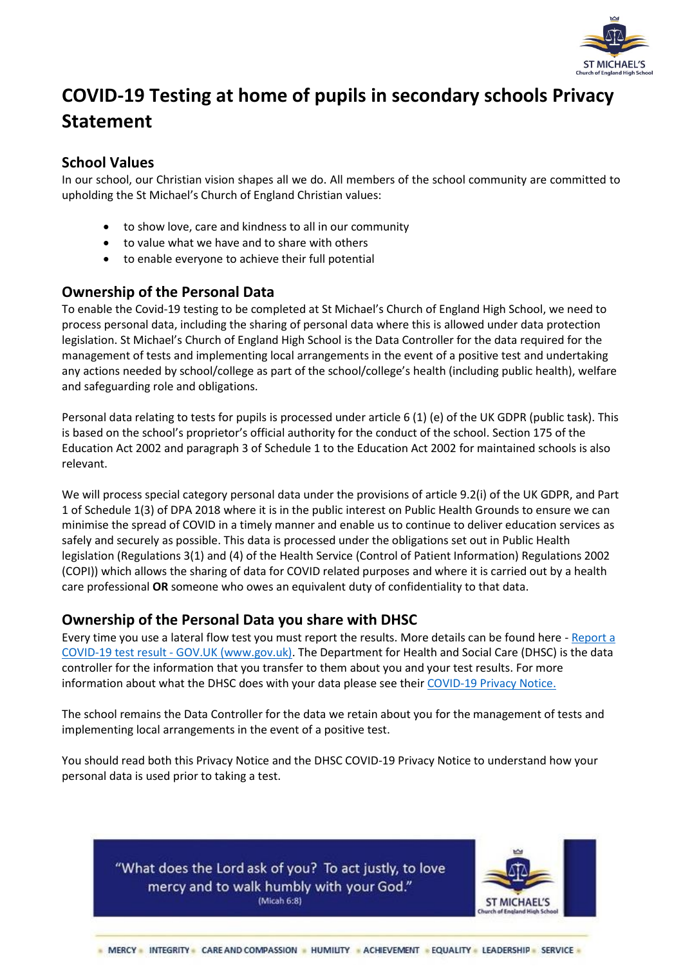

# **COVID-19 Testing at home of pupils in secondary schools Privacy Statement**

#### **School Values**

In our school, our Christian vision shapes all we do. All members of the school community are committed to upholding the St Michael's Church of England Christian values:

- to show love, care and kindness to all in our community
- to value what we have and to share with others
- to enable everyone to achieve their full potential

## **Ownership of the Personal Data**

To enable the Covid-19 testing to be completed at St Michael's Church of England High School, we need to process personal data, including the sharing of personal data where this is allowed under data protection legislation. St Michael's Church of England High School is the Data Controller for the data required for the management of tests and implementing local arrangements in the event of a positive test and undertaking any actions needed by school/college as part of the school/college's health (including public health), welfare and safeguarding role and obligations.

Personal data relating to tests for pupils is processed under article 6 (1) (e) of the UK GDPR (public task). This is based on the school's proprietor's official authority for the conduct of the school. Section 175 of the Education Act 2002 and paragraph 3 of Schedule 1 to the Education Act 2002 for maintained schools is also relevant.

We will process special category personal data under the provisions of article 9.2(i) of the UK GDPR, and Part 1 of Schedule 1(3) of DPA 2018 where it is in the public interest on Public Health Grounds to ensure we can minimise the spread of COVID in a timely manner and enable us to continue to deliver education services as safely and securely as possible. This data is processed under the obligations set out in Public Health legislation (Regulations 3(1) and (4) of the Health Service (Control of Patient Information) Regulations 2002 (COPI)) which allows the sharing of data for COVID related purposes and where it is carried out by a health care professional **OR** someone who owes an equivalent duty of confidentiality to that data.

## **Ownership of the Personal Data you share with DHSC**

Every time you use a lateral flow test you must report the results. More details can be found here - [Report a](https://www.gov.uk/report-covid19-result)  COVID-19 test result - [GOV.UK \(www.gov.uk\).](https://www.gov.uk/report-covid19-result) The Department for Health and Social Care (DHSC) is the data controller for the information that you transfer to them about you and your test results. For more information about what the DHSC does with your data please see thei[r COVID-19 Privacy Notice.](https://www.gov.uk/government/publications/coronavirus-covid-19-testing-privacy-information)

The school remains the Data Controller for the data we retain about you for the management of tests and implementing local arrangements in the event of a positive test.

You should read both this Privacy Notice and the DHSC COVID-19 Privacy Notice to understand how your personal data is used prior to taking a test.



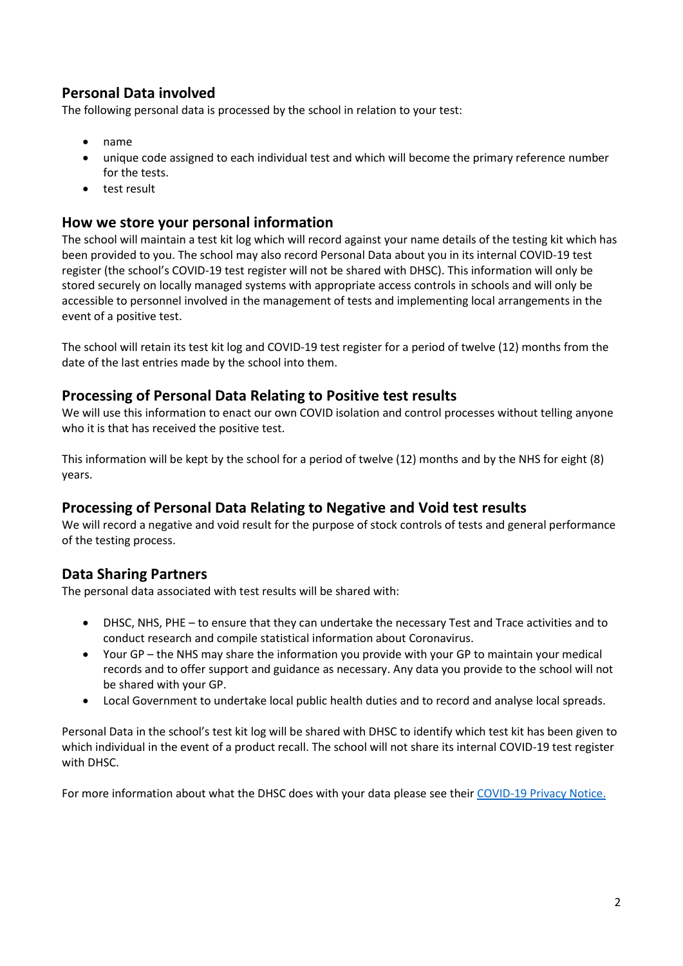# **Personal Data involved**

The following personal data is processed by the school in relation to your test:

- name
- unique code assigned to each individual test and which will become the primary reference number for the tests.
- test result

#### **How we store your personal information**

The school will maintain a test kit log which will record against your name details of the testing kit which has been provided to you. The school may also record Personal Data about you in its internal COVID-19 test register (the school's COVID-19 test register will not be shared with DHSC). This information will only be stored securely on locally managed systems with appropriate access controls in schools and will only be accessible to personnel involved in the management of tests and implementing local arrangements in the event of a positive test.

The school will retain its test kit log and COVID-19 test register for a period of twelve (12) months from the date of the last entries made by the school into them.

## **Processing of Personal Data Relating to Positive test results**

We will use this information to enact our own COVID isolation and control processes without telling anyone who it is that has received the positive test.

This information will be kept by the school for a period of twelve (12) months and by the NHS for eight (8) years.

## **Processing of Personal Data Relating to Negative and Void test results**

We will record a negative and void result for the purpose of stock controls of tests and general performance of the testing process.

## **Data Sharing Partners**

The personal data associated with test results will be shared with:

- DHSC, NHS, PHE to ensure that they can undertake the necessary Test and Trace activities and to conduct research and compile statistical information about Coronavirus.
- Your GP the NHS may share the information you provide with your GP to maintain your medical records and to offer support and guidance as necessary. Any data you provide to the school will not be shared with your GP.
- Local Government to undertake local public health duties and to record and analyse local spreads.

Personal Data in the school's test kit log will be shared with DHSC to identify which test kit has been given to which individual in the event of a product recall. The school will not share its internal COVID-19 test register with DHSC.

For more information about what the DHSC does with your data please see their [COVID-19 Privacy Notice.](https://www.gov.uk/government/publications/coronavirus-covid-19-testing-privacy-information)